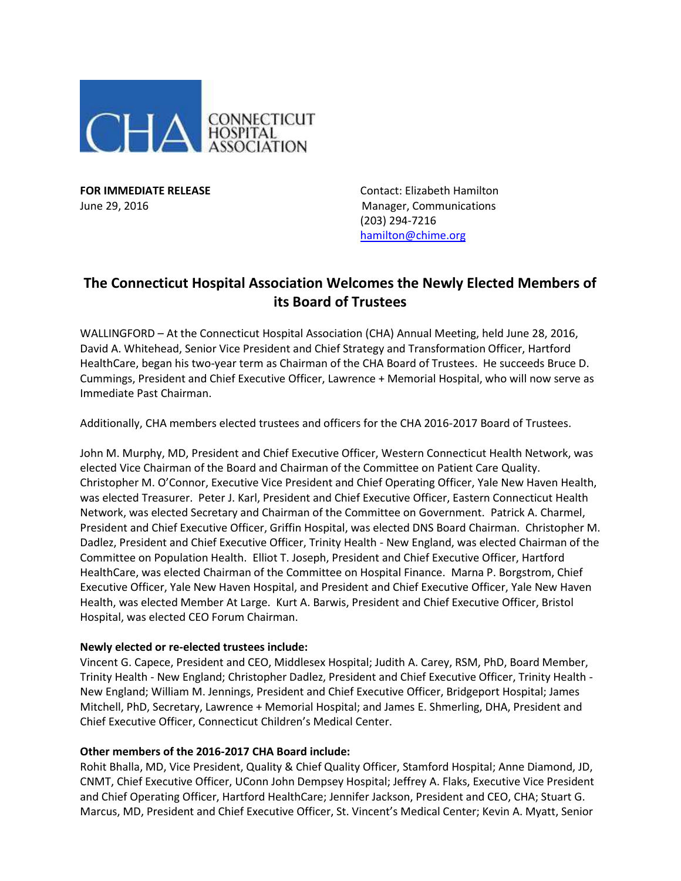

**FOR IMMEDIATE RELEASE Contact: Elizabeth Hamilton** June 29, 2016 Manager, Communications (203) 294-7216 [hamilton@chime.org](mailto:hamilton@chime.org)

# **The Connecticut Hospital Association Welcomes the Newly Elected Members of its Board of Trustees**

WALLINGFORD – At the Connecticut Hospital Association (CHA) Annual Meeting, held June 28, 2016, David A. Whitehead, Senior Vice President and Chief Strategy and Transformation Officer, Hartford HealthCare, began his two-year term as Chairman of the CHA Board of Trustees. He succeeds Bruce D. Cummings, President and Chief Executive Officer, Lawrence + Memorial Hospital, who will now serve as Immediate Past Chairman.

Additionally, CHA members elected trustees and officers for the CHA 2016-2017 Board of Trustees.

John M. Murphy, MD, President and Chief Executive Officer, Western Connecticut Health Network, was elected Vice Chairman of the Board and Chairman of the Committee on Patient Care Quality. Christopher M. O'Connor, Executive Vice President and Chief Operating Officer, Yale New Haven Health, was elected Treasurer. Peter J. Karl, President and Chief Executive Officer, Eastern Connecticut Health Network, was elected Secretary and Chairman of the Committee on Government. Patrick A. Charmel, President and Chief Executive Officer, Griffin Hospital, was elected DNS Board Chairman. Christopher M. Dadlez, President and Chief Executive Officer, Trinity Health - New England, was elected Chairman of the Committee on Population Health. Elliot T. Joseph, President and Chief Executive Officer, Hartford HealthCare, was elected Chairman of the Committee on Hospital Finance. Marna P. Borgstrom, Chief Executive Officer, Yale New Haven Hospital, and President and Chief Executive Officer, Yale New Haven Health, was elected Member At Large. Kurt A. Barwis, President and Chief Executive Officer, Bristol Hospital, was elected CEO Forum Chairman.

## **Newly elected or re-elected trustees include:**

Vincent G. Capece, President and CEO, Middlesex Hospital; Judith A. Carey, RSM, PhD, Board Member, Trinity Health - New England; Christopher Dadlez, President and Chief Executive Officer, Trinity Health - New England; William M. Jennings, President and Chief Executive Officer, Bridgeport Hospital; James Mitchell, PhD, Secretary, Lawrence + Memorial Hospital; and James E. Shmerling, DHA, President and Chief Executive Officer, Connecticut Children's Medical Center.

#### **Other members of the 2016-2017 CHA Board include:**

Rohit Bhalla, MD, Vice President, Quality & Chief Quality Officer, Stamford Hospital; Anne Diamond, JD, CNMT, Chief Executive Officer, UConn John Dempsey Hospital; Jeffrey A. Flaks, Executive Vice President and Chief Operating Officer, Hartford HealthCare; Jennifer Jackson, President and CEO, CHA; Stuart G. Marcus, MD, President and Chief Executive Officer, St. Vincent's Medical Center; Kevin A. Myatt, Senior